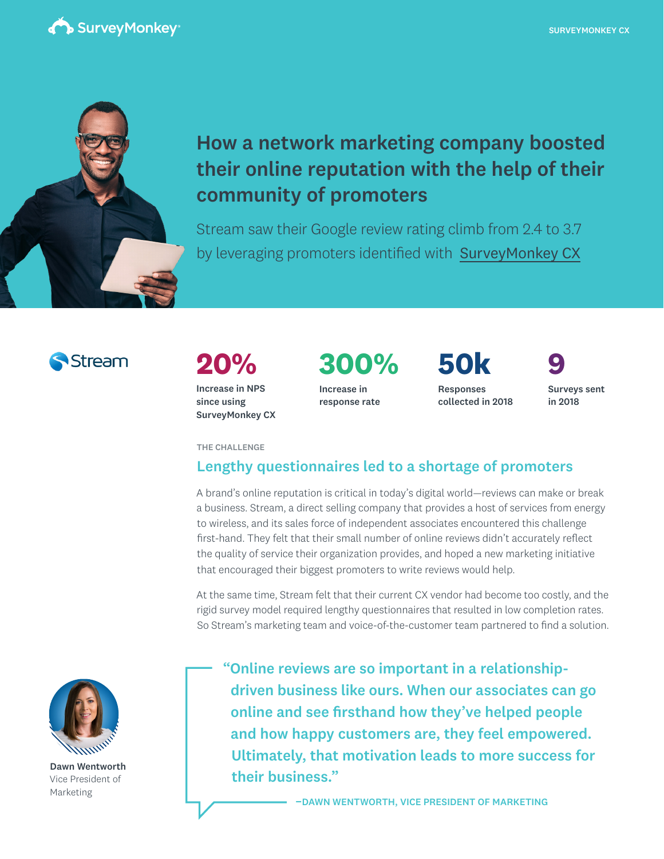



## How a network marketing company boosted their online reputation with the help of their community of promoters

Stream saw their Google review rating climb from 2.4 to 3.7 by leveraging promoters identified with [SurveyMonkey CX](https://www.surveymonkey.com/cx/)



# **20%**

Increase in NPS since using SurveyMonkey CX **300%**

Increase in response rate Responses collected in 2018 **50k 9**

Surveys sent in 2018

THE CHALLENGE

### Lengthy questionnaires led to a shortage of promoters

A brand's online reputation is critical in today's digital world—reviews can make or break a business. Stream, a direct selling company that provides a host of services from energy to wireless, and its sales force of independent associates encountered this challenge first-hand. They felt that their small number of online reviews didn't accurately reflect the quality of service their organization provides, and hoped a new marketing initiative that encouraged their biggest promoters to write reviews would help.

At the same time, Stream felt that their current CX vendor had become too costly, and the rigid survey model required lengthy questionnaires that resulted in low completion rates. So Stream's marketing team and voice-of-the-customer team partnered to find a solution.



Dawn Wentworth Vice President of Marketing

"Online reviews are so important in a relationshipdriven business like ours. When our associates can go online and see firsthand how they've helped people and how happy customers are, they feel empowered. Ultimately, that motivation leads to more success for their business."